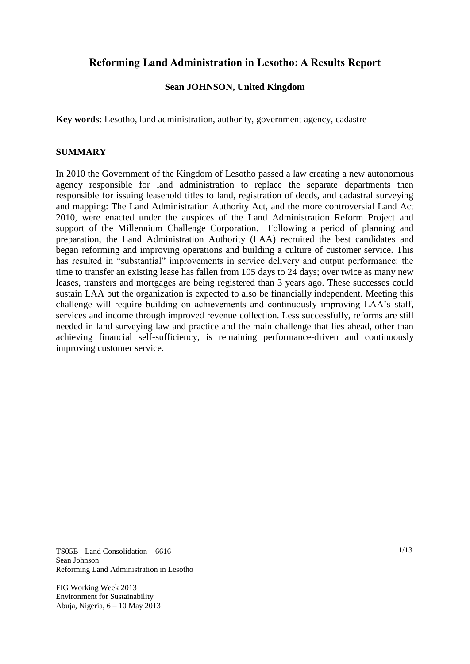# **Reforming Land Administration in Lesotho: A Results Report**

## **Sean JOHNSON, United Kingdom**

**Key words**: Lesotho, land administration, authority, government agency, cadastre

#### **SUMMARY**

In 2010 the Government of the Kingdom of Lesotho passed a law creating a new autonomous agency responsible for land administration to replace the separate departments then responsible for issuing leasehold titles to land, registration of deeds, and cadastral surveying and mapping: The Land Administration Authority Act, and the more controversial Land Act 2010, were enacted under the auspices of the Land Administration Reform Project and support of the Millennium Challenge Corporation. Following a period of planning and preparation, the Land Administration Authority (LAA) recruited the best candidates and began reforming and improving operations and building a culture of customer service. This has resulted in "substantial" improvements in service delivery and output performance: the time to transfer an existing lease has fallen from 105 days to 24 days; over twice as many new leases, transfers and mortgages are being registered than 3 years ago. These successes could sustain LAA but the organization is expected to also be financially independent. Meeting this challenge will require building on achievements and continuously improving LAA"s staff, services and income through improved revenue collection. Less successfully, reforms are still needed in land surveying law and practice and the main challenge that lies ahead, other than achieving financial self-sufficiency, is remaining performance-driven and continuously improving customer service.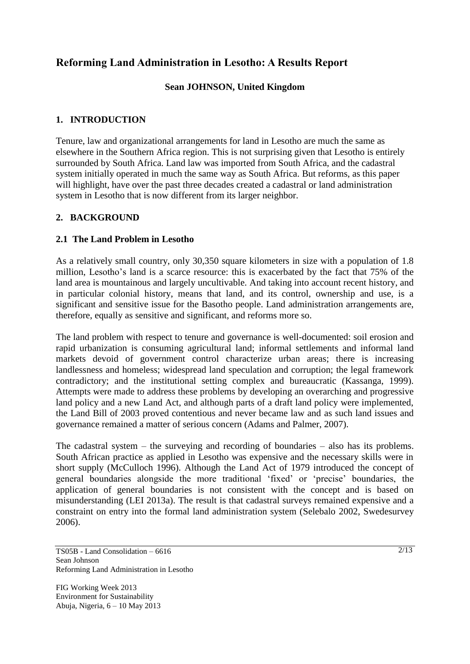# **Reforming Land Administration in Lesotho: A Results Report**

## **Sean JOHNSON, United Kingdom**

### **1. INTRODUCTION**

Tenure, law and organizational arrangements for land in Lesotho are much the same as elsewhere in the Southern Africa region. This is not surprising given that Lesotho is entirely surrounded by South Africa. Land law was imported from South Africa, and the cadastral system initially operated in much the same way as South Africa. But reforms, as this paper will highlight, have over the past three decades created a cadastral or land administration system in Lesotho that is now different from its larger neighbor.

## **2. BACKGROUND**

### **2.1 The Land Problem in Lesotho**

As a relatively small country, only 30,350 square kilometers in size with a population of 1.8 million, Lesotho"s land is a scarce resource: this is exacerbated by the fact that 75% of the land area is mountainous and largely uncultivable. And taking into account recent history, and in particular colonial history, means that land, and its control, ownership and use, is a significant and sensitive issue for the Basotho people. Land administration arrangements are, therefore, equally as sensitive and significant, and reforms more so.

The land problem with respect to tenure and governance is well-documented: soil erosion and rapid urbanization is consuming agricultural land; informal settlements and informal land markets devoid of government control characterize urban areas; there is increasing landlessness and homeless; widespread land speculation and corruption; the legal framework contradictory; and the institutional setting complex and bureaucratic (Kassanga, 1999). Attempts were made to address these problems by developing an overarching and progressive land policy and a new Land Act, and although parts of a draft land policy were implemented, the Land Bill of 2003 proved contentious and never became law and as such land issues and governance remained a matter of serious concern (Adams and Palmer, 2007).

The cadastral system – the surveying and recording of boundaries – also has its problems. South African practice as applied in Lesotho was expensive and the necessary skills were in short supply (McCulloch 1996). Although the Land Act of 1979 introduced the concept of general boundaries alongside the more traditional "fixed" or "precise" boundaries, the application of general boundaries is not consistent with the concept and is based on misunderstanding (LEI 2013a). The result is that cadastral surveys remained expensive and a constraint on entry into the formal land administration system (Selebalo 2002, Swedesurvey 2006).

TS05B - Land Consolidation – 6616 Sean Johnson Reforming Land Administration in Lesotho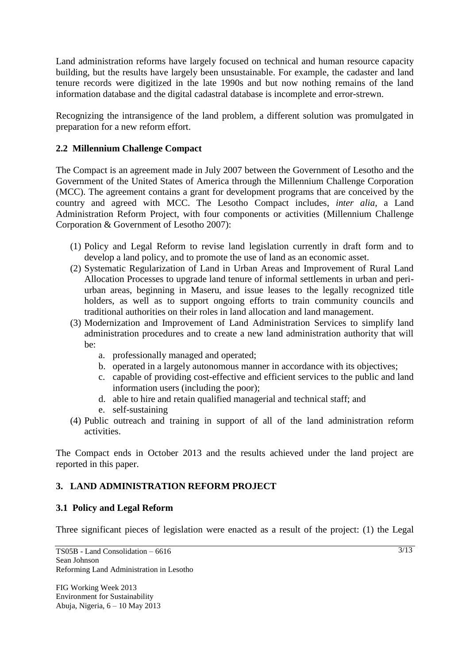Land administration reforms have largely focused on technical and human resource capacity building, but the results have largely been unsustainable. For example, the cadaster and land tenure records were digitized in the late 1990s and but now nothing remains of the land information database and the digital cadastral database is incomplete and error-strewn.

Recognizing the intransigence of the land problem, a different solution was promulgated in preparation for a new reform effort.

## **2.2 Millennium Challenge Compact**

The Compact is an agreement made in July 2007 between the Government of Lesotho and the Government of the United States of America through the Millennium Challenge Corporation (MCC). The agreement contains a grant for development programs that are conceived by the country and agreed with MCC. The Lesotho Compact includes, *inter alia*, a Land Administration Reform Project, with four components or activities (Millennium Challenge Corporation & Government of Lesotho 2007):

- (1) Policy and Legal Reform to revise land legislation currently in draft form and to develop a land policy, and to promote the use of land as an economic asset.
- (2) Systematic Regularization of Land in Urban Areas and Improvement of Rural Land Allocation Processes to upgrade land tenure of informal settlements in urban and periurban areas, beginning in Maseru, and issue leases to the legally recognized title holders, as well as to support ongoing efforts to train community councils and traditional authorities on their roles in land allocation and land management.
- (3) Modernization and Improvement of Land Administration Services to simplify land administration procedures and to create a new land administration authority that will be:
	- a. professionally managed and operated;
	- b. operated in a largely autonomous manner in accordance with its objectives;
	- c. capable of providing cost-effective and efficient services to the public and land information users (including the poor);
	- d. able to hire and retain qualified managerial and technical staff; and
	- e. self-sustaining
- (4) Public outreach and training in support of all of the land administration reform activities.

The Compact ends in October 2013 and the results achieved under the land project are reported in this paper.

## **3. LAND ADMINISTRATION REFORM PROJECT**

### **3.1 Policy and Legal Reform**

Three significant pieces of legislation were enacted as a result of the project: (1) the Legal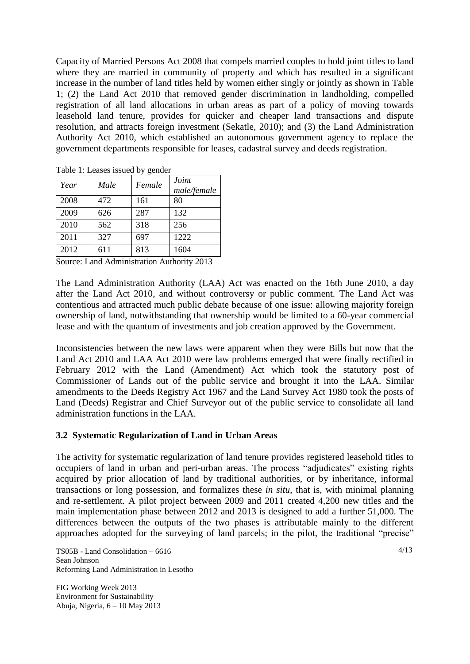Capacity of Married Persons Act 2008 that compels married couples to hold joint titles to land where they are married in community of property and which has resulted in a significant increase in the number of land titles held by women either singly or jointly as shown in Table 1; (2) the Land Act 2010 that removed gender discrimination in landholding, compelled registration of all land allocations in urban areas as part of a policy of moving towards leasehold land tenure, provides for quicker and cheaper land transactions and dispute resolution, and attracts foreign investment (Sekatle, 2010); and (3) the Land Administration Authority Act 2010, which established an autonomous government agency to replace the government departments responsible for leases, cadastral survey and deeds registration.

| Year | Male | ے ت<br>Female | Joint<br>male/female |
|------|------|---------------|----------------------|
| 2008 | 472  | 161           | 80                   |
| 2009 | 626  | 287           | 132                  |
| 2010 | 562  | 318           | 256                  |
| 2011 | 327  | 697           | 1222                 |
| 2012 | 611  | 813           | 1604                 |

Table 1: Leases issued by gender

Source: Land Administration Authority 2013

The Land Administration Authority (LAA) Act was enacted on the 16th June 2010, a day after the Land Act 2010, and without controversy or public comment. The Land Act was contentious and attracted much public debate because of one issue: allowing majority foreign ownership of land, notwithstanding that ownership would be limited to a 60-year commercial lease and with the quantum of investments and job creation approved by the Government.

Inconsistencies between the new laws were apparent when they were Bills but now that the Land Act 2010 and LAA Act 2010 were law problems emerged that were finally rectified in February 2012 with the Land (Amendment) Act which took the statutory post of Commissioner of Lands out of the public service and brought it into the LAA. Similar amendments to the Deeds Registry Act 1967 and the Land Survey Act 1980 took the posts of Land (Deeds) Registrar and Chief Surveyor out of the public service to consolidate all land administration functions in the LAA.

#### **3.2 Systematic Regularization of Land in Urban Areas**

The activity for systematic regularization of land tenure provides registered leasehold titles to occupiers of land in urban and peri-urban areas. The process "adjudicates" existing rights acquired by prior allocation of land by traditional authorities, or by inheritance, informal transactions or long possession, and formalizes these *in situ*, that is, with minimal planning and re-settlement. A pilot project between 2009 and 2011 created 4,200 new titles and the main implementation phase between 2012 and 2013 is designed to add a further 51,000. The differences between the outputs of the two phases is attributable mainly to the different approaches adopted for the surveying of land parcels; in the pilot, the traditional "precise"

FIG Working Week 2013 Environment for Sustainability Abuja, Nigeria, 6 – 10 May 2013  $\sqrt{4/13}$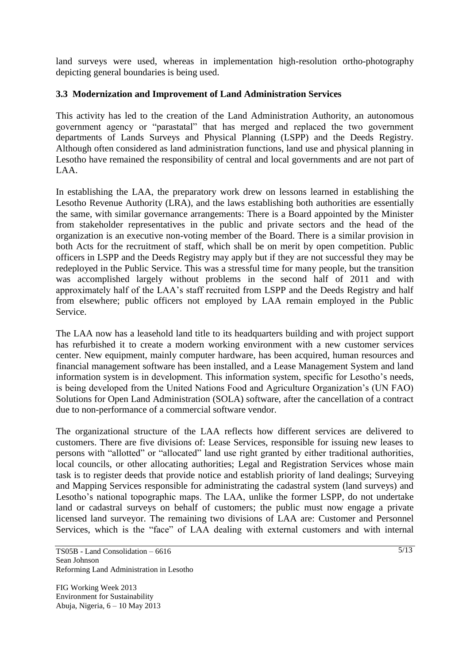land surveys were used, whereas in implementation high-resolution ortho-photography depicting general boundaries is being used.

## **3.3 Modernization and Improvement of Land Administration Services**

This activity has led to the creation of the Land Administration Authority, an autonomous government agency or "parastatal" that has merged and replaced the two government departments of Lands Surveys and Physical Planning (LSPP) and the Deeds Registry. Although often considered as land administration functions, land use and physical planning in Lesotho have remained the responsibility of central and local governments and are not part of LAA.

In establishing the LAA, the preparatory work drew on lessons learned in establishing the Lesotho Revenue Authority (LRA), and the laws establishing both authorities are essentially the same, with similar governance arrangements: There is a Board appointed by the Minister from stakeholder representatives in the public and private sectors and the head of the organization is an executive non-voting member of the Board. There is a similar provision in both Acts for the recruitment of staff, which shall be on merit by open competition. Public officers in LSPP and the Deeds Registry may apply but if they are not successful they may be redeployed in the Public Service. This was a stressful time for many people, but the transition was accomplished largely without problems in the second half of 2011 and with approximately half of the LAA"s staff recruited from LSPP and the Deeds Registry and half from elsewhere; public officers not employed by LAA remain employed in the Public Service.

The LAA now has a leasehold land title to its headquarters building and with project support has refurbished it to create a modern working environment with a new customer services center. New equipment, mainly computer hardware, has been acquired, human resources and financial management software has been installed, and a Lease Management System and land information system is in development. This information system, specific for Lesotho"s needs, is being developed from the United Nations Food and Agriculture Organization"s (UN FAO) Solutions for Open Land Administration (SOLA) software, after the cancellation of a contract due to non-performance of a commercial software vendor.

The organizational structure of the LAA reflects how different services are delivered to customers. There are five divisions of: Lease Services, responsible for issuing new leases to persons with "allotted" or "allocated" land use right granted by either traditional authorities, local councils, or other allocating authorities; Legal and Registration Services whose main task is to register deeds that provide notice and establish priority of land dealings; Surveying and Mapping Services responsible for administrating the cadastral system (land surveys) and Lesotho"s national topographic maps. The LAA, unlike the former LSPP, do not undertake land or cadastral surveys on behalf of customers; the public must now engage a private licensed land surveyor. The remaining two divisions of LAA are: Customer and Personnel Services, which is the "face" of LAA dealing with external customers and with internal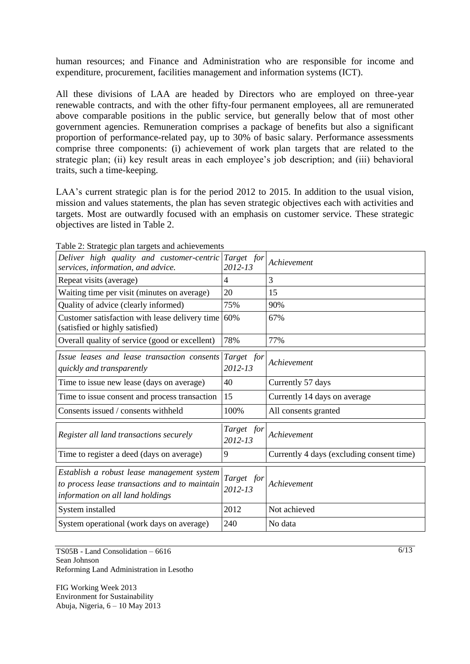human resources; and Finance and Administration who are responsible for income and expenditure, procurement, facilities management and information systems (ICT).

All these divisions of LAA are headed by Directors who are employed on three-year renewable contracts, and with the other fifty-four permanent employees, all are remunerated above comparable positions in the public service, but generally below that of most other government agencies. Remuneration comprises a package of benefits but also a significant proportion of performance-related pay, up to 30% of basic salary. Performance assessments comprise three components: (i) achievement of work plan targets that are related to the strategic plan; (ii) key result areas in each employee's job description; and (iii) behavioral traits, such a time-keeping.

LAA's current strategic plan is for the period 2012 to 2015. In addition to the usual vision, mission and values statements, the plan has seven strategic objectives each with activities and targets. Most are outwardly focused with an emphasis on customer service. These strategic objectives are listed in Table 2.

| Deliver high quality and customer-centric<br>services, information, and advice.                                                 | Target for<br>2012-13 | Achievement                               |
|---------------------------------------------------------------------------------------------------------------------------------|-----------------------|-------------------------------------------|
| Repeat visits (average)                                                                                                         | 4                     | 3                                         |
| Waiting time per visit (minutes on average)                                                                                     | 20                    | 15                                        |
| Quality of advice (clearly informed)                                                                                            | 75%                   | 90%                                       |
| Customer satisfaction with lease delivery time $60\%$<br>(satisfied or highly satisfied)                                        |                       | 67%                                       |
| Overall quality of service (good or excellent)                                                                                  | 78%                   | 77%                                       |
| Issue leases and lease transaction consents<br>quickly and transparently                                                        | Target for<br>2012-13 | Achievement                               |
| Time to issue new lease (days on average)                                                                                       | 40                    | Currently 57 days                         |
| Time to issue consent and process transaction                                                                                   | 15                    | Currently 14 days on average              |
| Consents issued / consents withheld                                                                                             | 100%                  | All consents granted                      |
| Register all land transactions securely                                                                                         | Target for<br>2012-13 | Achievement                               |
| Time to register a deed (days on average)                                                                                       | 9                     | Currently 4 days (excluding consent time) |
| Establish a robust lease management system<br>to process lease transactions and to maintain<br>information on all land holdings | Target for<br>2012-13 | Achievement                               |
| System installed                                                                                                                | 2012                  | Not achieved                              |
| System operational (work days on average)                                                                                       | 240                   | No data                                   |

Table 2: Strategic plan targets and achievements

TS05B - Land Consolidation – 6616 Sean Johnson Reforming Land Administration in Lesotho

FIG Working Week 2013 Environment for Sustainability Abuja, Nigeria, 6 – 10 May 2013  $\sqrt{6/13}$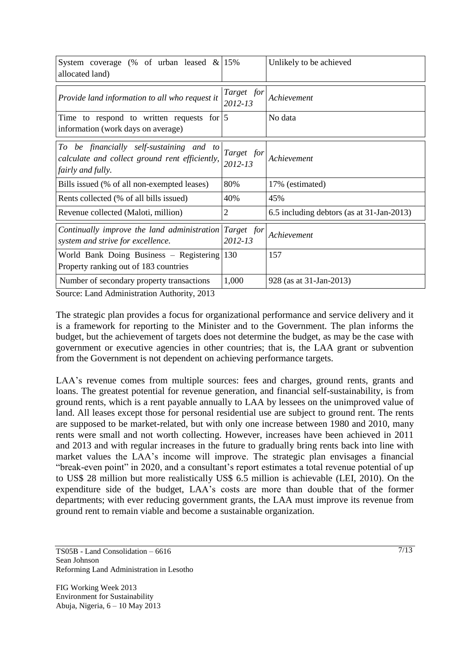| System coverage (% of urban leased $\&$ 15%<br>allocated land)                                                  |                       | Unlikely to be achieved                   |
|-----------------------------------------------------------------------------------------------------------------|-----------------------|-------------------------------------------|
| Provide land information to all who request it                                                                  | Target for<br>2012-13 | Achievement                               |
| Time to respond to written requests for $ 5 $<br>information (work days on average)                             |                       | No data                                   |
| To be financially self-sustaining and to<br>calculate and collect ground rent efficiently,<br>fairly and fully. | Target for<br>2012-13 | Achievement                               |
| Bills issued (% of all non-exempted leases)                                                                     | 80%                   | 17% (estimated)                           |
| Rents collected (% of all bills issued)                                                                         | 40%                   | 45%                                       |
| Revenue collected (Maloti, million)                                                                             | 2                     | 6.5 including debtors (as at 31-Jan-2013) |
| Continually improve the land administration<br>system and strive for excellence.                                | Target for<br>2012-13 | Achievement                               |
| World Bank Doing Business – Registering 130<br>Property ranking out of 183 countries                            |                       | 157                                       |
| Number of secondary property transactions                                                                       | 1,000                 | 928 (as at 31-Jan-2013)                   |

Source: Land Administration Authority, 2013

The strategic plan provides a focus for organizational performance and service delivery and it is a framework for reporting to the Minister and to the Government. The plan informs the budget, but the achievement of targets does not determine the budget, as may be the case with government or executive agencies in other countries; that is, the LAA grant or subvention from the Government is not dependent on achieving performance targets.

LAA's revenue comes from multiple sources: fees and charges, ground rents, grants and loans. The greatest potential for revenue generation, and financial self-sustainability, is from ground rents, which is a rent payable annually to LAA by lessees on the unimproved value of land. All leases except those for personal residential use are subject to ground rent. The rents are supposed to be market-related, but with only one increase between 1980 and 2010, many rents were small and not worth collecting. However, increases have been achieved in 2011 and 2013 and with regular increases in the future to gradually bring rents back into line with market values the LAA"s income will improve. The strategic plan envisages a financial "break-even point" in 2020, and a consultant"s report estimates a total revenue potential of up to US\$ 28 million but more realistically US\$ 6.5 million is achievable (LEI, 2010). On the expenditure side of the budget, LAA"s costs are more than double that of the former departments; with ever reducing government grants, the LAA must improve its revenue from ground rent to remain viable and become a sustainable organization.

TS05B - Land Consolidation – 6616 Sean Johnson Reforming Land Administration in Lesotho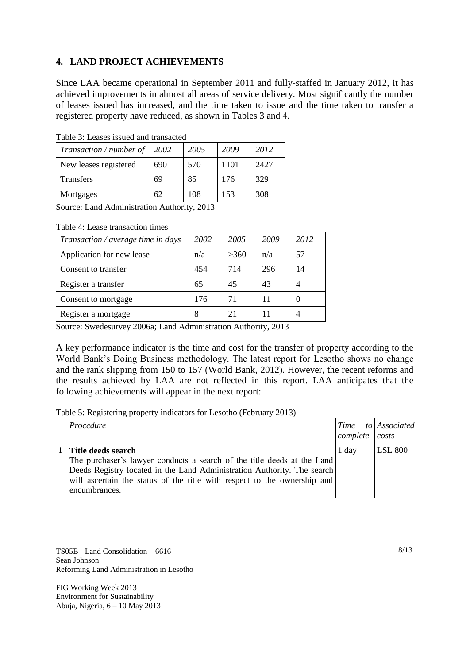## **4. LAND PROJECT ACHIEVEMENTS**

Since LAA became operational in September 2011 and fully-staffed in January 2012, it has achieved improvements in almost all areas of service delivery. Most significantly the number of leases issued has increased, and the time taken to issue and the time taken to transfer a registered property have reduced, as shown in Tables 3 and 4.

| Transaction / number of | 2002 | 2005 | 2009 | 2012 |
|-------------------------|------|------|------|------|
| New leases registered   | 690  | 570  | 1101 | 2427 |
| <b>Transfers</b>        | 69   | 85   | 176  | 329  |
| Mortgages               | 62   | 108  | 153  | 308  |

Table 3: Leases issued and transacted

Source: Land Administration Authority, 2013

Table 4: Lease transaction times

| Transaction / average time in days | 2002 | 2005 | 2009 | 2012 |
|------------------------------------|------|------|------|------|
| Application for new lease          | n/a  | >360 | n/a  | 57   |
| Consent to transfer                | 454  | 714  | 296  | 14   |
| Register a transfer                | 65   | 45   | 43   |      |
| Consent to mortgage                | 176  | 71   | 11   |      |
| Register a mortgage                | 8    | 21   |      |      |

Source: Swedesurvey 2006a; Land Administration Authority, 2013

A key performance indicator is the time and cost for the transfer of property according to the World Bank"s Doing Business methodology. The latest report for Lesotho shows no change and the rank slipping from 150 to 157 (World Bank, 2012). However, the recent reforms and the results achieved by LAA are not reflected in this report. LAA anticipates that the following achievements will appear in the next report:

Table 5: Registering property indicators for Lesotho (February 2013)

| Procedure                                                                                                                                                                                                                                                             | Time<br>$complete$ $costs$ | to Associated  |
|-----------------------------------------------------------------------------------------------------------------------------------------------------------------------------------------------------------------------------------------------------------------------|----------------------------|----------------|
| Title deeds search<br>The purchaser's lawyer conducts a search of the title deeds at the Land<br>Deeds Registry located in the Land Administration Authority. The search<br>will ascertain the status of the title with respect to the ownership and<br>encumbrances. | 1 day                      | <b>LSL 800</b> |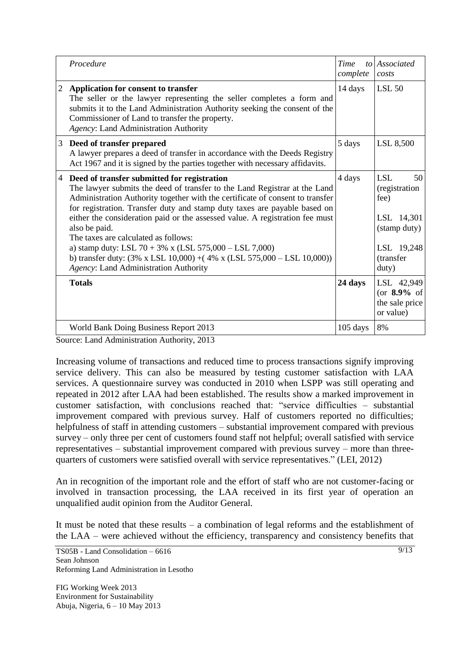|   | Procedure                                                                                                                                                                                                                                                                                                                                                                                                                                                                                         | Time<br>complete | to Associated<br>costs                                                                |
|---|---------------------------------------------------------------------------------------------------------------------------------------------------------------------------------------------------------------------------------------------------------------------------------------------------------------------------------------------------------------------------------------------------------------------------------------------------------------------------------------------------|------------------|---------------------------------------------------------------------------------------|
| 2 | Application for consent to transfer<br>The seller or the lawyer representing the seller completes a form and<br>submits it to the Land Administration Authority seeking the consent of the<br>Commissioner of Land to transfer the property.<br>Agency: Land Administration Authority                                                                                                                                                                                                             | 14 days          | <b>LSL 50</b>                                                                         |
| 3 | Deed of transfer prepared<br>A lawyer prepares a deed of transfer in accordance with the Deeds Registry<br>Act 1967 and it is signed by the parties together with necessary affidavits.                                                                                                                                                                                                                                                                                                           | 5 days           | LSL 8,500                                                                             |
| 4 | Deed of transfer submitted for registration<br>The lawyer submits the deed of transfer to the Land Registrar at the Land<br>Administration Authority together with the certificate of consent to transfer<br>for registration. Transfer duty and stamp duty taxes are payable based on<br>either the consideration paid or the assessed value. A registration fee must<br>also be paid.<br>The taxes are calculated as follows:<br>a) stamp duty: LSL $70 + 3\%$ x (LSL $575,000 -$ LSL $7,000$ ) | 4 days           | <b>LSL</b><br>50<br>(registration<br>fee)<br>LSL 14,301<br>(stamp duty)<br>LSL 19,248 |
|   | b) transfer duty: $(3\% \times LSL 10,000) + (4\% \times (LSL 575,000 - LSL 10,000))$<br>Agency: Land Administration Authority                                                                                                                                                                                                                                                                                                                                                                    |                  | (transfer<br>duty)                                                                    |
|   | <b>Totals</b>                                                                                                                                                                                                                                                                                                                                                                                                                                                                                     | 24 days          | LSL 42,949<br>(or $8.9\%$ of<br>the sale price<br>or value)                           |
|   | World Bank Doing Business Report 2013                                                                                                                                                                                                                                                                                                                                                                                                                                                             | $105$ days       | 8%                                                                                    |

Source: Land Administration Authority, 2013

Increasing volume of transactions and reduced time to process transactions signify improving service delivery. This can also be measured by testing customer satisfaction with LAA services. A questionnaire survey was conducted in 2010 when LSPP was still operating and repeated in 2012 after LAA had been established. The results show a marked improvement in customer satisfaction, with conclusions reached that: "service difficulties – substantial improvement compared with previous survey. Half of customers reported no difficulties; helpfulness of staff in attending customers – substantial improvement compared with previous survey – only three per cent of customers found staff not helpful; overall satisfied with service representatives – substantial improvement compared with previous survey – more than threequarters of customers were satisfied overall with service representatives." (LEI, 2012)

An in recognition of the important role and the effort of staff who are not customer-facing or involved in transaction processing, the LAA received in its first year of operation an unqualified audit opinion from the Auditor General.

It must be noted that these results – a combination of legal reforms and the establishment of the LAA – were achieved without the efficiency, transparency and consistency benefits that

TS05B - Land Consolidation – 6616 Sean Johnson Reforming Land Administration in Lesotho

FIG Working Week 2013 Environment for Sustainability Abuja, Nigeria, 6 – 10 May 2013  $9/13$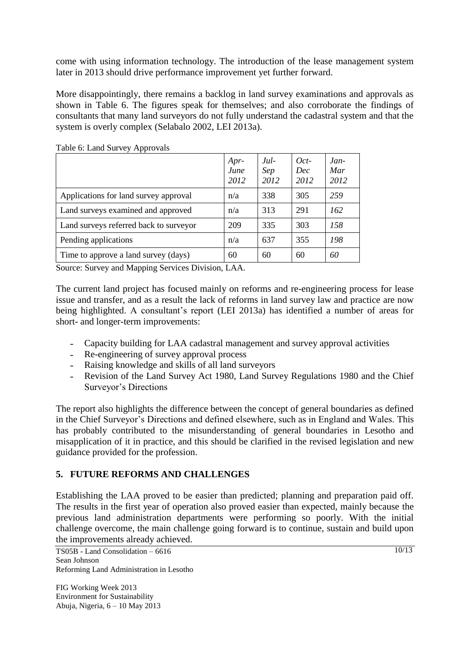come with using information technology. The introduction of the lease management system later in 2013 should drive performance improvement yet further forward.

More disappointingly, there remains a backlog in land survey examinations and approvals as shown in Table 6. The figures speak for themselves; and also corroborate the findings of consultants that many land surveyors do not fully understand the cadastral system and that the system is overly complex (Selabalo 2002, LEI 2013a).

| . .                                    | Apr-<br>June<br>2012 | $Jul-$<br>Sep<br>2012 | $Oct-$<br><b>Dec</b><br>2012 | $Jan-$<br>Mar<br>2012 |
|----------------------------------------|----------------------|-----------------------|------------------------------|-----------------------|
| Applications for land survey approval  | n/a                  | 338                   | 305                          | 259                   |
| Land surveys examined and approved     | n/a                  | 313                   | 291                          | 162                   |
| Land surveys referred back to surveyor | 209                  | 335                   | 303                          | 158                   |
| Pending applications                   | n/a                  | 637                   | 355                          | 198                   |
| Time to approve a land survey (days)   | 60                   | 60                    | 60                           | 60                    |

Table 6: Land Survey Approvals

Source: Survey and Mapping Services Division, LAA.

The current land project has focused mainly on reforms and re-engineering process for lease issue and transfer, and as a result the lack of reforms in land survey law and practice are now being highlighted. A consultant's report (LEI 2013a) has identified a number of areas for short- and longer-term improvements:

- Capacity building for LAA cadastral management and survey approval activities
- Re-engineering of survey approval process
- Raising knowledge and skills of all land surveyors
- Revision of the Land Survey Act 1980, Land Survey Regulations 1980 and the Chief Surveyor"s Directions

The report also highlights the difference between the concept of general boundaries as defined in the Chief Surveyor"s Directions and defined elsewhere, such as in England and Wales. This has probably contributed to the misunderstanding of general boundaries in Lesotho and misapplication of it in practice, and this should be clarified in the revised legislation and new guidance provided for the profession.

## **5. FUTURE REFORMS AND CHALLENGES**

Establishing the LAA proved to be easier than predicted; planning and preparation paid off. The results in the first year of operation also proved easier than expected, mainly because the previous land administration departments were performing so poorly. With the initial challenge overcome, the main challenge going forward is to continue, sustain and build upon the improvements already achieved.

TS05B - Land Consolidation – 6616 Sean Johnson Reforming Land Administration in Lesotho

FIG Working Week 2013 Environment for Sustainability Abuja, Nigeria, 6 – 10 May 2013 10/13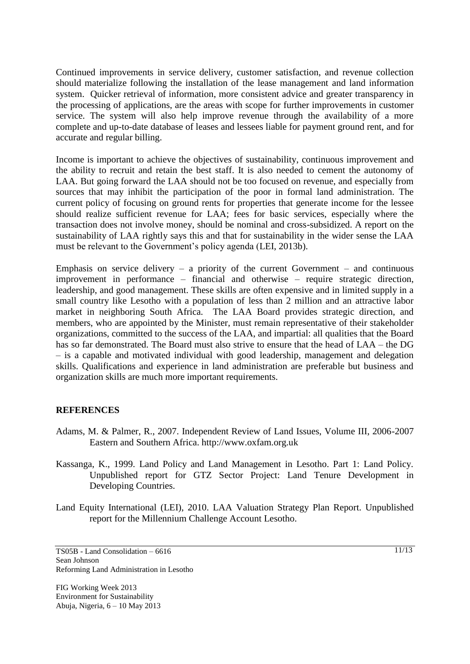Continued improvements in service delivery, customer satisfaction, and revenue collection should materialize following the installation of the lease management and land information system. Quicker retrieval of information, more consistent advice and greater transparency in the processing of applications, are the areas with scope for further improvements in customer service. The system will also help improve revenue through the availability of a more complete and up-to-date database of leases and lessees liable for payment ground rent, and for accurate and regular billing.

Income is important to achieve the objectives of sustainability, continuous improvement and the ability to recruit and retain the best staff. It is also needed to cement the autonomy of LAA. But going forward the LAA should not be too focused on revenue, and especially from sources that may inhibit the participation of the poor in formal land administration. The current policy of focusing on ground rents for properties that generate income for the lessee should realize sufficient revenue for LAA; fees for basic services, especially where the transaction does not involve money, should be nominal and cross-subsidized. A report on the sustainability of LAA rightly says this and that for sustainability in the wider sense the LAA must be relevant to the Government's policy agenda (LEI, 2013b).

Emphasis on service delivery – a priority of the current Government – and continuous improvement in performance – financial and otherwise – require strategic direction, leadership, and good management. These skills are often expensive and in limited supply in a small country like Lesotho with a population of less than 2 million and an attractive labor market in neighboring South Africa. The LAA Board provides strategic direction, and members, who are appointed by the Minister, must remain representative of their stakeholder organizations, committed to the success of the LAA, and impartial: all qualities that the Board has so far demonstrated. The Board must also strive to ensure that the head of LAA – the DG – is a capable and motivated individual with good leadership, management and delegation skills. Qualifications and experience in land administration are preferable but business and organization skills are much more important requirements.

#### **REFERENCES**

- Adams, M. & Palmer, R., 2007. Independent Review of Land Issues, Volume III, 2006-2007 Eastern and Southern Africa. http://www.oxfam.org.uk
- Kassanga, K., 1999. Land Policy and Land Management in Lesotho. Part 1: Land Policy. Unpublished report for GTZ Sector Project: Land Tenure Development in Developing Countries.
- Land Equity International (LEI), 2010. LAA Valuation Strategy Plan Report. Unpublished report for the Millennium Challenge Account Lesotho.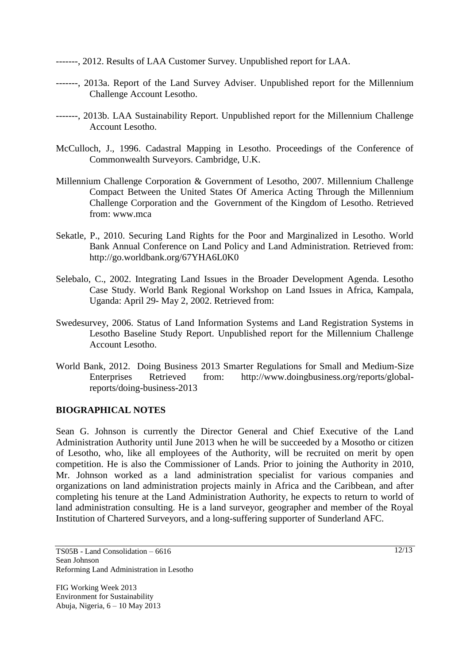-------, 2012. Results of LAA Customer Survey. Unpublished report for LAA.

- -------, 2013a. Report of the Land Survey Adviser. Unpublished report for the Millennium Challenge Account Lesotho.
- -------, 2013b. LAA Sustainability Report. Unpublished report for the Millennium Challenge Account Lesotho.
- McCulloch, J., 1996. Cadastral Mapping in Lesotho. Proceedings of the Conference of Commonwealth Surveyors. Cambridge, U.K.
- Millennium Challenge Corporation & Government of Lesotho, 2007. Millennium Challenge Compact Between the United States Of America Acting Through the Millennium Challenge Corporation and the Government of the Kingdom of Lesotho. Retrieved from: www.mca
- Sekatle, P., 2010. Securing Land Rights for the Poor and Marginalized in Lesotho. World Bank Annual Conference on Land Policy and Land Administration. Retrieved from: http://go.worldbank.org/67YHA6L0K0
- Selebalo, C., 2002. Integrating Land Issues in the Broader Development Agenda. Lesotho Case Study. World Bank Regional Workshop on Land Issues in Africa, Kampala, Uganda: April 29- May 2, 2002. Retrieved from:
- Swedesurvey, 2006. Status of Land Information Systems and Land Registration Systems in Lesotho Baseline Study Report. Unpublished report for the Millennium Challenge Account Lesotho.
- World Bank, 2012. Doing Business 2013 Smarter Regulations for Small and Medium-Size Enterprises Retrieved from: http://www.doingbusiness.org/reports/globalreports/doing-business-2013

#### **BIOGRAPHICAL NOTES**

Sean G. Johnson is currently the Director General and Chief Executive of the Land Administration Authority until June 2013 when he will be succeeded by a Mosotho or citizen of Lesotho, who, like all employees of the Authority, will be recruited on merit by open competition. He is also the Commissioner of Lands. Prior to joining the Authority in 2010, Mr. Johnson worked as a land administration specialist for various companies and organizations on land administration projects mainly in Africa and the Caribbean, and after completing his tenure at the Land Administration Authority, he expects to return to world of land administration consulting. He is a land surveyor, geographer and member of the Royal Institution of Chartered Surveyors, and a long-suffering supporter of Sunderland AFC.